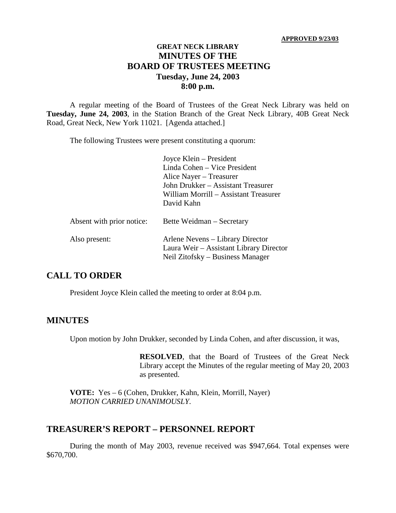#### **APPROVED 9/23/03**

### **GREAT NECK LIBRARY MINUTES OF THE BOARD OF TRUSTEES MEETING Tuesday, June 24, 2003 8:00 p.m.**

A regular meeting of the Board of Trustees of the Great Neck Library was held on **Tuesday, June 24, 2003**, in the Station Branch of the Great Neck Library, 40B Great Neck Road, Great Neck, New York 11021. [Agenda attached.]

The following Trustees were present constituting a quorum:

|                           | Joyce Klein – President<br>Linda Cohen – Vice President<br>Alice Nayer – Treasurer<br>John Drukker - Assistant Treasurer<br>William Morrill - Assistant Treasurer<br>David Kahn |
|---------------------------|---------------------------------------------------------------------------------------------------------------------------------------------------------------------------------|
| Absent with prior notice: | Bette Weidman – Secretary                                                                                                                                                       |
| Also present:             | Arlene Nevens – Library Director<br>Laura Weir - Assistant Library Director<br>Neil Zitofsky – Business Manager                                                                 |

# **CALL TO ORDER**

President Joyce Klein called the meeting to order at 8:04 p.m.

#### **MINUTES**

Upon motion by John Drukker, seconded by Linda Cohen, and after discussion, it was,

**RESOLVED**, that the Board of Trustees of the Great Neck Library accept the Minutes of the regular meeting of May 20, 2003 as presented.

**VOTE:** Yes – 6 (Cohen, Drukker, Kahn, Klein, Morrill, Nayer) *MOTION CARRIED UNANIMOUSLY.*

#### **TREASURER'S REPORT – PERSONNEL REPORT**

During the month of May 2003, revenue received was \$947,664. Total expenses were \$670,700.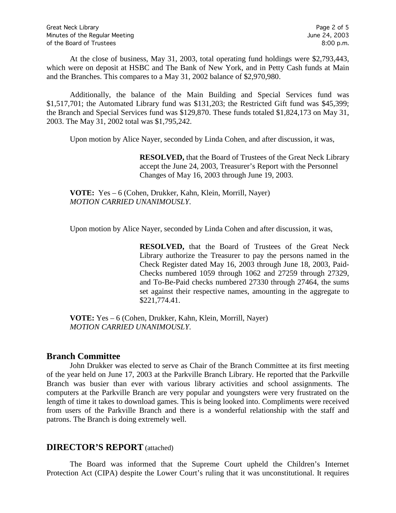At the close of business, May 31, 2003, total operating fund holdings were \$2,793,443, which were on deposit at HSBC and The Bank of New York, and in Petty Cash funds at Main and the Branches. This compares to a May 31, 2002 balance of \$2,970,980.

Additionally, the balance of the Main Building and Special Services fund was \$1,517,701; the Automated Library fund was \$131,203; the Restricted Gift fund was \$45,399; the Branch and Special Services fund was \$129,870. These funds totaled \$1,824,173 on May 31, 2003. The May 31, 2002 total was \$1,795,242.

Upon motion by Alice Nayer, seconded by Linda Cohen, and after discussion, it was,

**RESOLVED,** that the Board of Trustees of the Great Neck Library accept the June 24, 2003, Treasurer's Report with the Personnel Changes of May 16, 2003 through June 19, 2003.

**VOTE:** Yes – 6 (Cohen, Drukker, Kahn, Klein, Morrill, Nayer) *MOTION CARRIED UNANIMOUSLY.*

Upon motion by Alice Nayer, seconded by Linda Cohen and after discussion, it was,

**RESOLVED,** that the Board of Trustees of the Great Neck Library authorize the Treasurer to pay the persons named in the Check Register dated May 16, 2003 through June 18, 2003, Paid-Checks numbered 1059 through 1062 and 27259 through 27329, and To-Be-Paid checks numbered 27330 through 27464, the sums set against their respective names, amounting in the aggregate to \$221,774.41.

**VOTE:** Yes – 6 (Cohen, Drukker, Kahn, Klein, Morrill, Nayer) *MOTION CARRIED UNANIMOUSLY.*

#### **Branch Committee**

John Drukker was elected to serve as Chair of the Branch Committee at its first meeting of the year held on June 17, 2003 at the Parkville Branch Library. He reported that the Parkville Branch was busier than ever with various library activities and school assignments. The computers at the Parkville Branch are very popular and youngsters were very frustrated on the length of time it takes to download games. This is being looked into. Compliments were received from users of the Parkville Branch and there is a wonderful relationship with the staff and patrons. The Branch is doing extremely well.

#### **DIRECTOR'S REPORT** (attached)

The Board was informed that the Supreme Court upheld the Children's Internet Protection Act (CIPA) despite the Lower Court's ruling that it was unconstitutional. It requires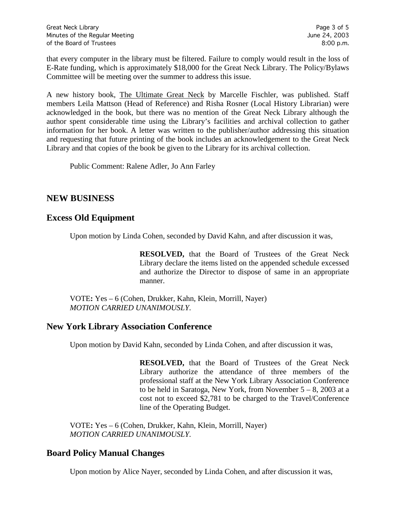that every computer in the library must be filtered. Failure to comply would result in the loss of E-Rate funding, which is approximately \$18,000 for the Great Neck Library. The Policy/Bylaws Committee will be meeting over the summer to address this issue.

A new history book, The Ultimate Great Neck by Marcelle Fischler, was published. Staff members Leila Mattson (Head of Reference) and Risha Rosner (Local History Librarian) were acknowledged in the book, but there was no mention of the Great Neck Library although the author spent considerable time using the Library's facilities and archival collection to gather information for her book. A letter was written to the publisher/author addressing this situation and requesting that future printing of the book includes an acknowledgement to the Great Neck Library and that copies of the book be given to the Library for its archival collection.

Public Comment: Ralene Adler, Jo Ann Farley

# **NEW BUSINESS**

# **Excess Old Equipment**

Upon motion by Linda Cohen, seconded by David Kahn, and after discussion it was,

**RESOLVED,** that the Board of Trustees of the Great Neck Library declare the items listed on the appended schedule excessed and authorize the Director to dispose of same in an appropriate manner.

VOTE**:** Yes – 6 (Cohen, Drukker, Kahn, Klein, Morrill, Nayer) *MOTION CARRIED UNANIMOUSLY.*

# **New York Library Association Conference**

Upon motion by David Kahn, seconded by Linda Cohen, and after discussion it was,

**RESOLVED,** that the Board of Trustees of the Great Neck Library authorize the attendance of three members of the professional staff at the New York Library Association Conference to be held in Saratoga, New York, from November  $5 - 8$ , 2003 at a cost not to exceed \$2,781 to be charged to the Travel/Conference line of the Operating Budget.

VOTE**:** Yes – 6 (Cohen, Drukker, Kahn, Klein, Morrill, Nayer) *MOTION CARRIED UNANIMOUSLY.*

# **Board Policy Manual Changes**

Upon motion by Alice Nayer, seconded by Linda Cohen, and after discussion it was,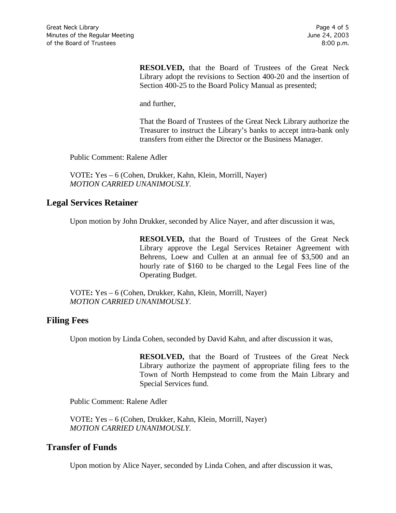**RESOLVED,** that the Board of Trustees of the Great Neck Library adopt the revisions to Section 400-20 and the insertion of Section 400-25 to the Board Policy Manual as presented;

and further,

That the Board of Trustees of the Great Neck Library authorize the Treasurer to instruct the Library's banks to accept intra-bank only transfers from either the Director or the Business Manager.

Public Comment: Ralene Adler

VOTE**:** Yes – 6 (Cohen, Drukker, Kahn, Klein, Morrill, Nayer) *MOTION CARRIED UNANIMOUSLY.*

#### **Legal Services Retainer**

Upon motion by John Drukker, seconded by Alice Nayer, and after discussion it was,

**RESOLVED,** that the Board of Trustees of the Great Neck Library approve the Legal Services Retainer Agreement with Behrens, Loew and Cullen at an annual fee of \$3,500 and an hourly rate of \$160 to be charged to the Legal Fees line of the Operating Budget.

VOTE**:** Yes – 6 (Cohen, Drukker, Kahn, Klein, Morrill, Nayer) *MOTION CARRIED UNANIMOUSLY.*

#### **Filing Fees**

Upon motion by Linda Cohen, seconded by David Kahn, and after discussion it was,

**RESOLVED,** that the Board of Trustees of the Great Neck Library authorize the payment of appropriate filing fees to the Town of North Hempstead to come from the Main Library and Special Services fund.

Public Comment: Ralene Adler

VOTE**:** Yes – 6 (Cohen, Drukker, Kahn, Klein, Morrill, Nayer) *MOTION CARRIED UNANIMOUSLY.*

#### **Transfer of Funds**

Upon motion by Alice Nayer, seconded by Linda Cohen, and after discussion it was,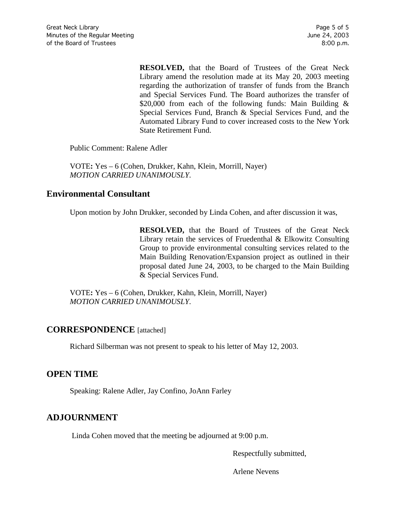**RESOLVED,** that the Board of Trustees of the Great Neck Library amend the resolution made at its May 20, 2003 meeting regarding the authorization of transfer of funds from the Branch and Special Services Fund. The Board authorizes the transfer of \$20,000 from each of the following funds: Main Building & Special Services Fund, Branch & Special Services Fund, and the Automated Library Fund to cover increased costs to the New York State Retirement Fund.

Public Comment: Ralene Adler

VOTE**:** Yes – 6 (Cohen, Drukker, Kahn, Klein, Morrill, Nayer) *MOTION CARRIED UNANIMOUSLY.*

### **Environmental Consultant**

Upon motion by John Drukker, seconded by Linda Cohen, and after discussion it was,

**RESOLVED,** that the Board of Trustees of the Great Neck Library retain the services of Fruedenthal & Elkowitz Consulting Group to provide environmental consulting services related to the Main Building Renovation/Expansion project as outlined in their proposal dated June 24, 2003, to be charged to the Main Building & Special Services Fund.

VOTE**:** Yes – 6 (Cohen, Drukker, Kahn, Klein, Morrill, Nayer) *MOTION CARRIED UNANIMOUSLY.*

# **CORRESPONDENCE** [attached]

Richard Silberman was not present to speak to his letter of May 12, 2003.

# **OPEN TIME**

Speaking: Ralene Adler, Jay Confino, JoAnn Farley

# **ADJOURNMENT**

Linda Cohen moved that the meeting be adjourned at 9:00 p.m.

Respectfully submitted,

Arlene Nevens